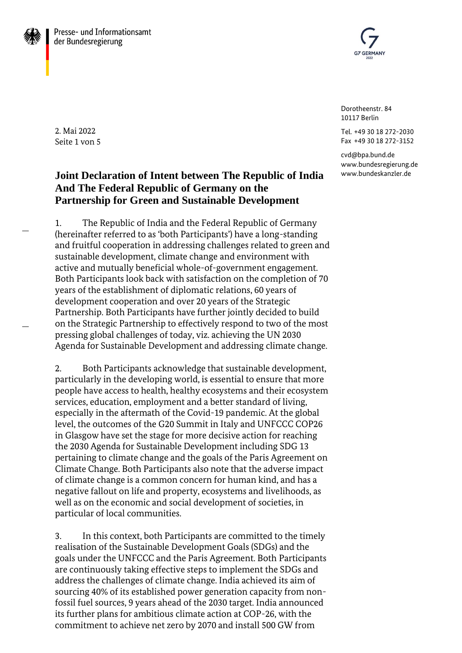



Dorotheenstr. 84 10117 Berlin

Tel. +49 30 18 272-2030 Fax +49 30 18 272-3152

cvd@bpa.bund.de [www.bundesregierung.de](http://www.bundesregierung.de/) www.bundeskanzler.de

2. Mai 2022 Seite 1 von 5

# **Joint Declaration of Intent between The Republic of India And The Federal Republic of Germany on the Partnership for Green and Sustainable Development**

1. The Republic of India and the Federal Republic of Germany (hereinafter referred to as 'both Participants') have a long-standing and fruitful cooperation in addressing challenges related to green and sustainable development, climate change and environment with active and mutually beneficial whole-of-government engagement. Both Participants look back with satisfaction on the completion of 70 years of the establishment of diplomatic relations, 60 years of development cooperation and over 20 years of the Strategic Partnership. Both Participants have further jointly decided to build on the Strategic Partnership to effectively respond to two of the most pressing global challenges of today, viz. achieving the UN 2030 Agenda for Sustainable Development and addressing climate change.

2. Both Participants acknowledge that sustainable development, particularly in the developing world, is essential to ensure that more people have access to health, healthy ecosystems and their ecosystem services, education, employment and a better standard of living, especially in the aftermath of the Covid-19 pandemic. At the global level, the outcomes of the G20 Summit in Italy and UNFCCC COP26 in Glasgow have set the stage for more decisive action for reaching the 2030 Agenda for Sustainable Development including SDG 13 pertaining to climate change and the goals of the Paris Agreement on Climate Change. Both Participants also note that the adverse impact of climate change is a common concern for human kind, and has a negative fallout on life and property, ecosystems and livelihoods, as well as on the economic and social development of societies, in particular of local communities.

3. In this context, both Participants are committed to the timely realisation of the Sustainable Development Goals (SDGs) and the goals under the UNFCCC and the Paris Agreement. Both Participants are continuously taking effective steps to implement the SDGs and address the challenges of climate change. India achieved its aim of sourcing 40% of its established power generation capacity from nonfossil fuel sources, 9 years ahead of the 2030 target. India announced its further plans for ambitious climate action at COP-26, with the commitment to achieve net zero by 2070 and install 500 GW from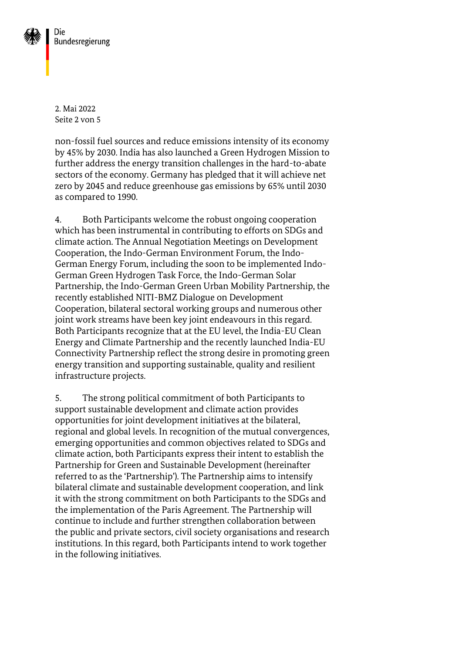

2. Mai 2022 Seite 2 von 5

non-fossil fuel sources and reduce emissions intensity of its economy by 45% by 2030. India has also launched a Green Hydrogen Mission to further address the energy transition challenges in the hard-to-abate sectors of the economy. Germany has pledged that it will achieve net zero by 2045 and reduce greenhouse gas emissions by 65% until 2030 as compared to 1990.

4. Both Participants welcome the robust ongoing cooperation which has been instrumental in contributing to efforts on SDGs and climate action. The Annual Negotiation Meetings on Development Cooperation, the Indo-German Environment Forum, the Indo-German Energy Forum, including the soon to be implemented Indo-German Green Hydrogen Task Force, the Indo-German Solar Partnership, the Indo-German Green Urban Mobility Partnership, the recently established NITI-BMZ Dialogue on Development Cooperation, bilateral sectoral working groups and numerous other joint work streams have been key joint endeavours in this regard. Both Participants recognize that at the EU level, the India-EU Clean Energy and Climate Partnership and the recently launched India-EU Connectivity Partnership reflect the strong desire in promoting green energy transition and supporting sustainable, quality and resilient infrastructure projects.

5. The strong political commitment of both Participants to support sustainable development and climate action provides opportunities for joint development initiatives at the bilateral, regional and global levels. In recognition of the mutual convergences, emerging opportunities and common objectives related to SDGs and climate action, both Participants express their intent to establish the Partnership for Green and Sustainable Development (hereinafter referred to as the 'Partnership'). The Partnership aims to intensify bilateral climate and sustainable development cooperation, and link it with the strong commitment on both Participants to the SDGs and the implementation of the Paris Agreement. The Partnership will continue to include and further strengthen collaboration between the public and private sectors, civil society organisations and research institutions. In this regard, both Participants intend to work together in the following initiatives.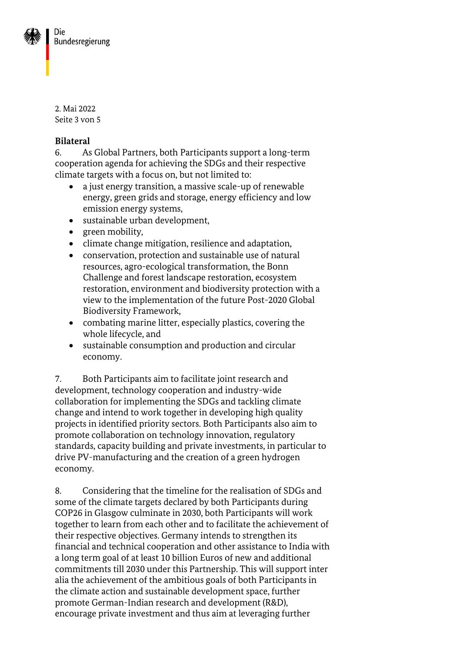

2. Mai 2022 Seite 3 von 5

### **Bilateral**

6. As Global Partners, both Participants support a long-term cooperation agenda for achieving the SDGs and their respective climate targets with a focus on, but not limited to:

- a just energy transition, a massive scale-up of renewable energy, green grids and storage, energy efficiency and low emission energy systems,
- sustainable urban development,
- green mobility,
- climate change mitigation, resilience and adaptation,
- conservation, protection and sustainable use of natural resources, agro-ecological transformation, the Bonn Challenge and forest landscape restoration, ecosystem restoration, environment and biodiversity protection with a view to the implementation of the future Post-2020 Global Biodiversity Framework,
- combating marine litter, especially plastics, covering the whole lifecycle, and
- sustainable consumption and production and circular economy.

7. Both Participants aim to facilitate joint research and development, technology cooperation and industry-wide collaboration for implementing the SDGs and tackling climate change and intend to work together in developing high quality projects in identified priority sectors. Both Participants also aim to promote collaboration on technology innovation, regulatory standards, capacity building and private investments, in particular to drive PV-manufacturing and the creation of a green hydrogen economy.

8. Considering that the timeline for the realisation of SDGs and some of the climate targets declared by both Participants during COP26 in Glasgow culminate in 2030, both Participants will work together to learn from each other and to facilitate the achievement of their respective objectives. Germany intends to strengthen its financial and technical cooperation and other assistance to India with a long term goal of at least 10 billion Euros of new and additional commitments till 2030 under this Partnership. This will support inter alia the achievement of the ambitious goals of both Participants in the climate action and sustainable development space, further promote German-Indian research and development (R&D), encourage private investment and thus aim at leveraging further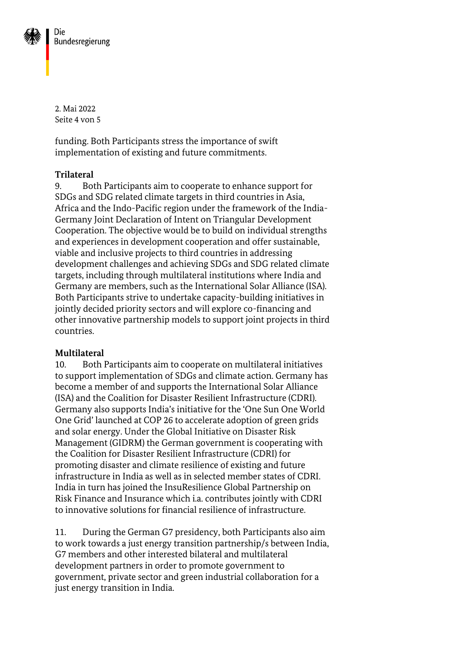

2. Mai 2022 Seite 4 von 5

funding. Both Participants stress the importance of swift implementation of existing and future commitments.

### **Trilateral**

9. Both Participants aim to cooperate to enhance support for SDGs and SDG related climate targets in third countries in Asia, Africa and the Indo-Pacific region under the framework of the India-Germany Joint Declaration of Intent on Triangular Development Cooperation. The objective would be to build on individual strengths and experiences in development cooperation and offer sustainable, viable and inclusive projects to third countries in addressing development challenges and achieving SDGs and SDG related climate targets, including through multilateral institutions where India and Germany are members, such as the International Solar Alliance (ISA). Both Participants strive to undertake capacity-building initiatives in jointly decided priority sectors and will explore co-financing and other innovative partnership models to support joint projects in third countries.

#### **Multilateral**

10. Both Participants aim to cooperate on multilateral initiatives to support implementation of SDGs and climate action. Germany has become a member of and supports the International Solar Alliance (ISA) and the Coalition for Disaster Resilient Infrastructure (CDRI). Germany also supports India's initiative for the 'One Sun One World One Grid' launched at COP 26 to accelerate adoption of green grids and solar energy. Under the Global Initiative on Disaster Risk Management (GIDRM) the German government is cooperating with the Coalition for Disaster Resilient Infrastructure (CDRI) for promoting disaster and climate resilience of existing and future infrastructure in India as well as in selected member states of CDRI. India in turn has joined the InsuResilience Global Partnership on Risk Finance and Insurance which i.a. contributes jointly with CDRI to innovative solutions for financial resilience of infrastructure.

11. During the German G7 presidency, both Participants also aim to work towards a just energy transition partnership/s between India, G7 members and other interested bilateral and multilateral development partners in order to promote government to government, private sector and green industrial collaboration for a just energy transition in India.